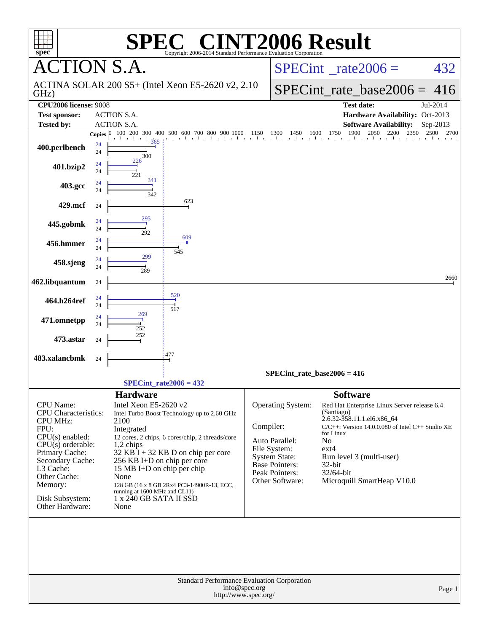| spec <sup>®</sup>                                                                                                                                                                                                                          | $\circledR$<br>Copyright 2006-2014 Standard Performance Evaluation Corporation                                                                                                                                                                                                                                                                                                           | <b>T2006 Result</b>                                                                                                                                                                                                                                                                                                                                                                                                             |
|--------------------------------------------------------------------------------------------------------------------------------------------------------------------------------------------------------------------------------------------|------------------------------------------------------------------------------------------------------------------------------------------------------------------------------------------------------------------------------------------------------------------------------------------------------------------------------------------------------------------------------------------|---------------------------------------------------------------------------------------------------------------------------------------------------------------------------------------------------------------------------------------------------------------------------------------------------------------------------------------------------------------------------------------------------------------------------------|
|                                                                                                                                                                                                                                            | <b>CTION S.A.</b>                                                                                                                                                                                                                                                                                                                                                                        | $SPECint^{\circ}$ rate $2006 =$<br>432                                                                                                                                                                                                                                                                                                                                                                                          |
| GHz)                                                                                                                                                                                                                                       | ACTINA SOLAR 200 S5+ (Intel Xeon E5-2620 v2, 2.10)                                                                                                                                                                                                                                                                                                                                       | $SPECint_rate_base2006 =$<br>416                                                                                                                                                                                                                                                                                                                                                                                                |
| <b>CPU2006 license: 9008</b>                                                                                                                                                                                                               |                                                                                                                                                                                                                                                                                                                                                                                          | <b>Test date:</b><br>Jul-2014                                                                                                                                                                                                                                                                                                                                                                                                   |
| <b>Test sponsor:</b>                                                                                                                                                                                                                       | <b>ACTION S.A.</b>                                                                                                                                                                                                                                                                                                                                                                       | Hardware Availability: Oct-2013                                                                                                                                                                                                                                                                                                                                                                                                 |
| <b>Tested by:</b>                                                                                                                                                                                                                          | <b>ACTION S.A.</b>                                                                                                                                                                                                                                                                                                                                                                       | <b>Software Availability:</b><br>Sep-2013                                                                                                                                                                                                                                                                                                                                                                                       |
| 400.perlbench                                                                                                                                                                                                                              | 100 200 300<br>400 500 600 700 800 900 1000<br><b>Copies</b><br>de architecto<br>24<br>24                                                                                                                                                                                                                                                                                                | 500 600 700 800 900 1000 1150 1300 1450 1600 1750 1900 2050 2200 2350 2500 270<br>2700                                                                                                                                                                                                                                                                                                                                          |
| 401.bzip2                                                                                                                                                                                                                                  | 300<br>226<br>24<br>24<br>221                                                                                                                                                                                                                                                                                                                                                            |                                                                                                                                                                                                                                                                                                                                                                                                                                 |
| 403.gcc                                                                                                                                                                                                                                    | 341<br>24<br>24<br>342                                                                                                                                                                                                                                                                                                                                                                   |                                                                                                                                                                                                                                                                                                                                                                                                                                 |
| 429.mcf                                                                                                                                                                                                                                    | 623<br>24                                                                                                                                                                                                                                                                                                                                                                                |                                                                                                                                                                                                                                                                                                                                                                                                                                 |
| 445.gobmk                                                                                                                                                                                                                                  | 295<br>24<br>24<br>292                                                                                                                                                                                                                                                                                                                                                                   |                                                                                                                                                                                                                                                                                                                                                                                                                                 |
| 456.hmmer                                                                                                                                                                                                                                  | 609<br>24<br>24<br>545                                                                                                                                                                                                                                                                                                                                                                   |                                                                                                                                                                                                                                                                                                                                                                                                                                 |
| 458.sjeng                                                                                                                                                                                                                                  | 299<br>24<br>24<br>289                                                                                                                                                                                                                                                                                                                                                                   |                                                                                                                                                                                                                                                                                                                                                                                                                                 |
| 462.libquantum                                                                                                                                                                                                                             | 24                                                                                                                                                                                                                                                                                                                                                                                       | 2660                                                                                                                                                                                                                                                                                                                                                                                                                            |
| 464.h264ref                                                                                                                                                                                                                                | 520<br>24<br>24<br>517                                                                                                                                                                                                                                                                                                                                                                   |                                                                                                                                                                                                                                                                                                                                                                                                                                 |
| 471.omnetpp                                                                                                                                                                                                                                | 269<br>24<br>24<br>252                                                                                                                                                                                                                                                                                                                                                                   |                                                                                                                                                                                                                                                                                                                                                                                                                                 |
| 473.astar                                                                                                                                                                                                                                  | 252<br>24                                                                                                                                                                                                                                                                                                                                                                                |                                                                                                                                                                                                                                                                                                                                                                                                                                 |
| 483.xalancbmk                                                                                                                                                                                                                              | 477<br>24                                                                                                                                                                                                                                                                                                                                                                                |                                                                                                                                                                                                                                                                                                                                                                                                                                 |
|                                                                                                                                                                                                                                            | $SPECint_rate2006 = 432$                                                                                                                                                                                                                                                                                                                                                                 | $SPECint_rate_base2006 = 416$                                                                                                                                                                                                                                                                                                                                                                                                   |
|                                                                                                                                                                                                                                            | <b>Hardware</b>                                                                                                                                                                                                                                                                                                                                                                          | <b>Software</b>                                                                                                                                                                                                                                                                                                                                                                                                                 |
| <b>CPU</b> Name:<br><b>CPU</b> Characteristics:<br><b>CPU MHz:</b><br>FPU:<br>$CPU(s)$ enabled:<br>$CPU(s)$ orderable:<br>Primary Cache:<br>Secondary Cache:<br>L3 Cache:<br>Other Cache:<br>Memory:<br>Disk Subsystem:<br>Other Hardware: | Intel Xeon E5-2620 v2<br>Intel Turbo Boost Technology up to 2.60 GHz<br>2100<br>Integrated<br>12 cores, 2 chips, 6 cores/chip, 2 threads/core<br>1,2 chips<br>$32$ KB I + 32 KB D on chip per core<br>256 KB I+D on chip per core<br>15 MB I+D on chip per chip<br>None<br>128 GB (16 x 8 GB 2Rx4 PC3-14900R-13, ECC,<br>running at 1600 MHz and CL11)<br>1 x 240 GB SATA II SSD<br>None | Operating System:<br>Red Hat Enterprise Linux Server release 6.4<br>(Santiago)<br>2.6.32-358.11.1.el6.x86_64<br>Compiler:<br>$C/C++$ : Version 14.0.0.080 of Intel $C++$ Studio XE<br>for Linux<br>Auto Parallel:<br>N <sub>0</sub><br>File System:<br>$ext{4}$<br><b>System State:</b><br>Run level 3 (multi-user)<br>Base Pointers:<br>32-bit<br>Peak Pointers:<br>32/64-bit<br>Microquill SmartHeap V10.0<br>Other Software: |
|                                                                                                                                                                                                                                            | Standard Performance Evaluation Corporation                                                                                                                                                                                                                                                                                                                                              |                                                                                                                                                                                                                                                                                                                                                                                                                                 |
|                                                                                                                                                                                                                                            | info@spec.org<br>http://www.spec.org/                                                                                                                                                                                                                                                                                                                                                    | Page 1                                                                                                                                                                                                                                                                                                                                                                                                                          |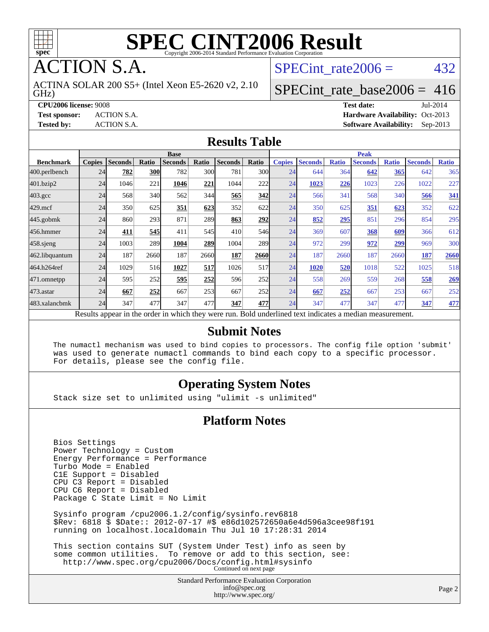

**TION S.A.** 

GHz) ACTINA SOLAR 200 S5+ (Intel Xeon E5-2620 v2, 2.10 SPECint rate $2006 = 432$ 

#### [SPECint\\_rate\\_base2006 =](http://www.spec.org/auto/cpu2006/Docs/result-fields.html#SPECintratebase2006) 416

**[CPU2006 license:](http://www.spec.org/auto/cpu2006/Docs/result-fields.html#CPU2006license)** 9008 **[Test date:](http://www.spec.org/auto/cpu2006/Docs/result-fields.html#Testdate)** Jul-2014 **[Test sponsor:](http://www.spec.org/auto/cpu2006/Docs/result-fields.html#Testsponsor)** ACTION S.A. **[Hardware Availability:](http://www.spec.org/auto/cpu2006/Docs/result-fields.html#HardwareAvailability)** Oct-2013 **[Tested by:](http://www.spec.org/auto/cpu2006/Docs/result-fields.html#Testedby)** ACTION S.A. **[Software Availability:](http://www.spec.org/auto/cpu2006/Docs/result-fields.html#SoftwareAvailability)** Sep-2013

#### **[Results Table](http://www.spec.org/auto/cpu2006/Docs/result-fields.html#ResultsTable)**

|                                                                                                          | <b>Base</b>   |                |              |                |       |                | <b>Peak</b> |               |                |              |                |              |                |              |
|----------------------------------------------------------------------------------------------------------|---------------|----------------|--------------|----------------|-------|----------------|-------------|---------------|----------------|--------------|----------------|--------------|----------------|--------------|
| <b>Benchmark</b>                                                                                         | <b>Copies</b> | <b>Seconds</b> | <b>Ratio</b> | <b>Seconds</b> | Ratio | <b>Seconds</b> | Ratio       | <b>Copies</b> | <b>Seconds</b> | <b>Ratio</b> | <b>Seconds</b> | <b>Ratio</b> | <b>Seconds</b> | <b>Ratio</b> |
| 400.perlbench                                                                                            | 24            | 782            | 300          | 782            | 300   | 781            | 300l        | 24            | 644            | 364          | 642            | 365          | 642            | 365          |
| 401.bzip2                                                                                                | 24            | 1046           | 221          | 1046           | 221   | 1044           | 222         | 24            | 1023           | 226          | 1023           | 226          | 1022           | 227          |
| $403.\mathrm{gcc}$                                                                                       | 24            | 568            | 340          | 562            | 344   | 565            | 342         | 24            | 566            | 341          | 568            | 340          | 566            | <u>341</u>   |
| $429$ .mcf                                                                                               | 24            | 350            | 625          | <u>351</u>     | 623   | 352            | 622         | 24            | 350            | 625          | 351            | <u>623</u>   | 352            | 622          |
| $445$ .gobmk                                                                                             | 24            | 860            | 293          | 871            | 289   | 863            | 292         | 24            | 852            | 295          | 851            | 296          | 854            | 295          |
| 456.hmmer                                                                                                | 24            | 411            | 545          | 411            | 545   | 410            | 546         | 24            | 369            | 607          | 368            | 609          | 366            | 612          |
| $458$ .sjeng                                                                                             | 24            | 1003           | 289          | 1004           | 289   | 1004           | <b>289</b>  | 24            | 972            | 299          | 972            | 299          | 969            | 300          |
| 462.libquantum                                                                                           | 24            | 187            | 2660         | 187            | 2660  | 187            | 2660        | 24            | 187            | 2660         | 187            | 2660         | 187            | 2660         |
| 464.h264ref                                                                                              | 24            | 1029           | 516          | 1027           | 517   | 1026           | 517         | 24            | 1020           | 520          | 1018           | 522          | 1025           | 518          |
| 471.omnetpp                                                                                              | 24            | 595            | 252          | 595            | 252   | 596            | 252         | 24            | 558            | 269          | 559            | 268          | 558            | 269          |
| $473.$ astar                                                                                             | 24            | 667            | 252          | 667            | 253   | 667            | 252         | 24            | 667            | 252          | 667            | 253          | 667            | 252          |
| 483.xalancbmk                                                                                            | 24            | 347            | 477          | 347            | 477   | 347            | 477         | 24            | 347            | 477          | 347            | 477          | 347            | 477          |
| Results appear in the order in which they were run. Bold underlined text indicates a median measurement. |               |                |              |                |       |                |             |               |                |              |                |              |                |              |

#### **[Submit Notes](http://www.spec.org/auto/cpu2006/Docs/result-fields.html#SubmitNotes)**

 The numactl mechanism was used to bind copies to processors. The config file option 'submit' was used to generate numactl commands to bind each copy to a specific processor. For details, please see the config file.

#### **[Operating System Notes](http://www.spec.org/auto/cpu2006/Docs/result-fields.html#OperatingSystemNotes)**

Stack size set to unlimited using "ulimit -s unlimited"

#### **[Platform Notes](http://www.spec.org/auto/cpu2006/Docs/result-fields.html#PlatformNotes)**

 Bios Settings Power Technology = Custom Energy Performance = Performance Turbo Mode = Enabled C1E Support = Disabled CPU C3 Report = Disabled CPU C6 Report = Disabled Package C State Limit = No Limit Sysinfo program /cpu2006.1.2/config/sysinfo.rev6818 \$Rev: 6818 \$ \$Date:: 2012-07-17 #\$ e86d102572650a6e4d596a3cee98f191 running on localhost.localdomain Thu Jul 10 17:28:31 2014 This section contains SUT (System Under Test) info as seen by some common utilities. To remove or add to this section, see: <http://www.spec.org/cpu2006/Docs/config.html#sysinfo> Continued on next page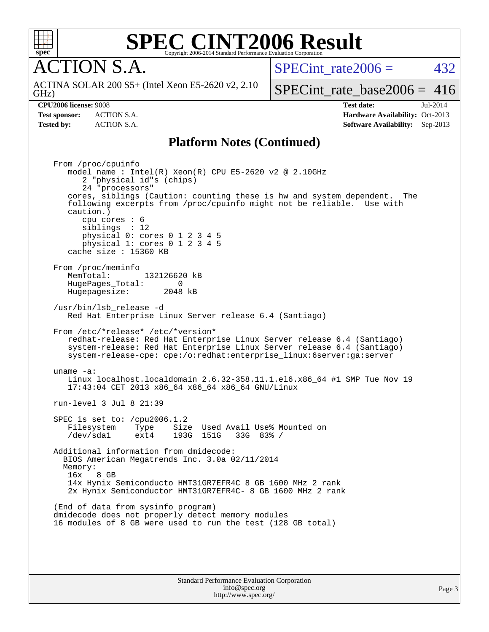

**CTION S.A.** 

SPECint rate $2006 = 432$ 

GHz) ACTINA SOLAR 200 S5+ (Intel Xeon E5-2620 v2, 2.10

[SPECint\\_rate\\_base2006 =](http://www.spec.org/auto/cpu2006/Docs/result-fields.html#SPECintratebase2006) 416

**[CPU2006 license:](http://www.spec.org/auto/cpu2006/Docs/result-fields.html#CPU2006license)** 9008 **[Test date:](http://www.spec.org/auto/cpu2006/Docs/result-fields.html#Testdate)** Jul-2014 **[Test sponsor:](http://www.spec.org/auto/cpu2006/Docs/result-fields.html#Testsponsor)** ACTION S.A. **[Hardware Availability:](http://www.spec.org/auto/cpu2006/Docs/result-fields.html#HardwareAvailability)** Oct-2013 **[Tested by:](http://www.spec.org/auto/cpu2006/Docs/result-fields.html#Testedby)** ACTION S.A. **[Software Availability:](http://www.spec.org/auto/cpu2006/Docs/result-fields.html#SoftwareAvailability)** Sep-2013

#### **[Platform Notes \(Continued\)](http://www.spec.org/auto/cpu2006/Docs/result-fields.html#PlatformNotes)**

 From /proc/cpuinfo model name : Intel(R) Xeon(R) CPU E5-2620 v2 @ 2.10GHz 2 "physical id"s (chips) 24 "processors" cores, siblings (Caution: counting these is hw and system dependent. The following excerpts from /proc/cpuinfo might not be reliable. Use with caution.) cpu cores : 6 siblings : 12 physical 0: cores 0 1 2 3 4 5 physical 1: cores 0 1 2 3 4 5 cache size : 15360 KB From /proc/meminfo MemTotal: 132126620 kB<br>HugePages Total: 0 HugePages\_Total: 0 Hugepagesize: 2048 kB /usr/bin/lsb\_release -d Red Hat Enterprise Linux Server release 6.4 (Santiago) From /etc/\*release\* /etc/\*version\* redhat-release: Red Hat Enterprise Linux Server release 6.4 (Santiago) system-release: Red Hat Enterprise Linux Server release 6.4 (Santiago) system-release-cpe: cpe:/o:redhat:enterprise\_linux:6server:ga:server uname -a: Linux localhost.localdomain 2.6.32-358.11.1.el6.x86\_64 #1 SMP Tue Nov 19 17:43:04 CET 2013 x86\_64 x86\_64 x86\_64 GNU/Linux run-level 3 Jul 8 21:39 SPEC is set to: /cpu2006.1.2<br>Filesystem Type Size Type Size Used Avail Use% Mounted on /dev/sda1 ext4 193G 151G 33G 83% / Additional information from dmidecode: BIOS American Megatrends Inc. 3.0a 02/11/2014 Memory: 16x 8 GB 14x Hynix Semiconducto HMT31GR7EFR4C 8 GB 1600 MHz 2 rank 2x Hynix Semiconductor HMT31GR7EFR4C- 8 GB 1600 MHz 2 rank (End of data from sysinfo program) dmidecode does not properly detect memory modules 16 modules of 8 GB were used to run the test (128 GB total)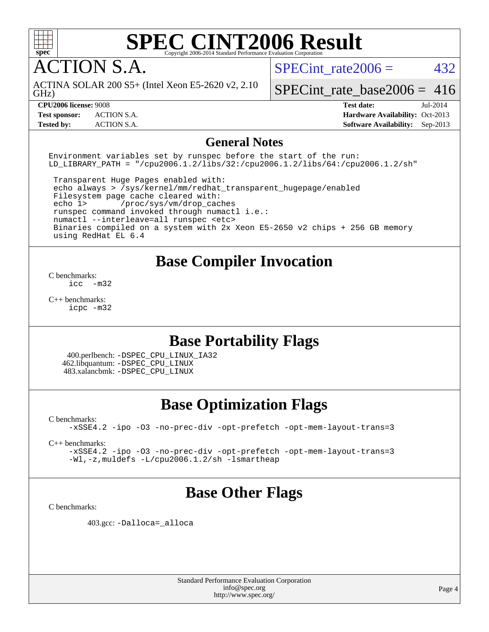

ACTION S.A.

SPECint rate $2006 = 432$ 

GHz) ACTINA SOLAR 200 S5+ (Intel Xeon E5-2620 v2, 2.10

[SPECint\\_rate\\_base2006 =](http://www.spec.org/auto/cpu2006/Docs/result-fields.html#SPECintratebase2006)  $416$ 

**[Test sponsor:](http://www.spec.org/auto/cpu2006/Docs/result-fields.html#Testsponsor)** ACTION S.A. **[Hardware Availability:](http://www.spec.org/auto/cpu2006/Docs/result-fields.html#HardwareAvailability)** Oct-2013

**[CPU2006 license:](http://www.spec.org/auto/cpu2006/Docs/result-fields.html#CPU2006license)** 9008 **[Test date:](http://www.spec.org/auto/cpu2006/Docs/result-fields.html#Testdate)** Jul-2014 **[Tested by:](http://www.spec.org/auto/cpu2006/Docs/result-fields.html#Testedby)** ACTION S.A. **[Software Availability:](http://www.spec.org/auto/cpu2006/Docs/result-fields.html#SoftwareAvailability)** Sep-2013

#### **[General Notes](http://www.spec.org/auto/cpu2006/Docs/result-fields.html#GeneralNotes)**

Environment variables set by runspec before the start of the run: LD LIBRARY PATH = "/cpu2006.1.2/libs/32:/cpu2006.1.2/libs/64:/cpu2006.1.2/sh"

 Transparent Huge Pages enabled with: echo always > /sys/kernel/mm/redhat\_transparent\_hugepage/enabled Filesystem page cache cleared with: echo 1> /proc/sys/vm/drop\_caches runspec command invoked through numactl i.e.: numactl --interleave=all runspec <etc> Binaries compiled on a system with 2x Xeon E5-2650 v2 chips + 256 GB memory using RedHat EL 6.4

#### **[Base Compiler Invocation](http://www.spec.org/auto/cpu2006/Docs/result-fields.html#BaseCompilerInvocation)**

[C benchmarks](http://www.spec.org/auto/cpu2006/Docs/result-fields.html#Cbenchmarks):  $inc -m32$ 

[C++ benchmarks:](http://www.spec.org/auto/cpu2006/Docs/result-fields.html#CXXbenchmarks) [icpc -m32](http://www.spec.org/cpu2006/results/res2014q3/cpu2006-20140714-30399.flags.html#user_CXXbase_intel_icpc_4e5a5ef1a53fd332b3c49e69c3330699)

### **[Base Portability Flags](http://www.spec.org/auto/cpu2006/Docs/result-fields.html#BasePortabilityFlags)**

 400.perlbench: [-DSPEC\\_CPU\\_LINUX\\_IA32](http://www.spec.org/cpu2006/results/res2014q3/cpu2006-20140714-30399.flags.html#b400.perlbench_baseCPORTABILITY_DSPEC_CPU_LINUX_IA32) 462.libquantum: [-DSPEC\\_CPU\\_LINUX](http://www.spec.org/cpu2006/results/res2014q3/cpu2006-20140714-30399.flags.html#b462.libquantum_baseCPORTABILITY_DSPEC_CPU_LINUX) 483.xalancbmk: [-DSPEC\\_CPU\\_LINUX](http://www.spec.org/cpu2006/results/res2014q3/cpu2006-20140714-30399.flags.html#b483.xalancbmk_baseCXXPORTABILITY_DSPEC_CPU_LINUX)

## **[Base Optimization Flags](http://www.spec.org/auto/cpu2006/Docs/result-fields.html#BaseOptimizationFlags)**

[C benchmarks](http://www.spec.org/auto/cpu2006/Docs/result-fields.html#Cbenchmarks):

[-xSSE4.2](http://www.spec.org/cpu2006/results/res2014q3/cpu2006-20140714-30399.flags.html#user_CCbase_f-xSSE42_f91528193cf0b216347adb8b939d4107) [-ipo](http://www.spec.org/cpu2006/results/res2014q3/cpu2006-20140714-30399.flags.html#user_CCbase_f-ipo) [-O3](http://www.spec.org/cpu2006/results/res2014q3/cpu2006-20140714-30399.flags.html#user_CCbase_f-O3) [-no-prec-div](http://www.spec.org/cpu2006/results/res2014q3/cpu2006-20140714-30399.flags.html#user_CCbase_f-no-prec-div) [-opt-prefetch](http://www.spec.org/cpu2006/results/res2014q3/cpu2006-20140714-30399.flags.html#user_CCbase_f-opt-prefetch) [-opt-mem-layout-trans=3](http://www.spec.org/cpu2006/results/res2014q3/cpu2006-20140714-30399.flags.html#user_CCbase_f-opt-mem-layout-trans_a7b82ad4bd7abf52556d4961a2ae94d5)

[C++ benchmarks:](http://www.spec.org/auto/cpu2006/Docs/result-fields.html#CXXbenchmarks)

[-xSSE4.2](http://www.spec.org/cpu2006/results/res2014q3/cpu2006-20140714-30399.flags.html#user_CXXbase_f-xSSE42_f91528193cf0b216347adb8b939d4107) [-ipo](http://www.spec.org/cpu2006/results/res2014q3/cpu2006-20140714-30399.flags.html#user_CXXbase_f-ipo) [-O3](http://www.spec.org/cpu2006/results/res2014q3/cpu2006-20140714-30399.flags.html#user_CXXbase_f-O3) [-no-prec-div](http://www.spec.org/cpu2006/results/res2014q3/cpu2006-20140714-30399.flags.html#user_CXXbase_f-no-prec-div) [-opt-prefetch](http://www.spec.org/cpu2006/results/res2014q3/cpu2006-20140714-30399.flags.html#user_CXXbase_f-opt-prefetch) [-opt-mem-layout-trans=3](http://www.spec.org/cpu2006/results/res2014q3/cpu2006-20140714-30399.flags.html#user_CXXbase_f-opt-mem-layout-trans_a7b82ad4bd7abf52556d4961a2ae94d5) [-Wl,-z,muldefs](http://www.spec.org/cpu2006/results/res2014q3/cpu2006-20140714-30399.flags.html#user_CXXbase_link_force_multiple1_74079c344b956b9658436fd1b6dd3a8a) [-L/cpu2006.1.2/sh -lsmartheap](http://www.spec.org/cpu2006/results/res2014q3/cpu2006-20140714-30399.flags.html#user_CXXbase_SmartHeap_bfa5b22c0e716eb2d3a2496ec83a2e29)

### **[Base Other Flags](http://www.spec.org/auto/cpu2006/Docs/result-fields.html#BaseOtherFlags)**

[C benchmarks](http://www.spec.org/auto/cpu2006/Docs/result-fields.html#Cbenchmarks):

403.gcc: [-Dalloca=\\_alloca](http://www.spec.org/cpu2006/results/res2014q3/cpu2006-20140714-30399.flags.html#b403.gcc_baseEXTRA_CFLAGS_Dalloca_be3056838c12de2578596ca5467af7f3)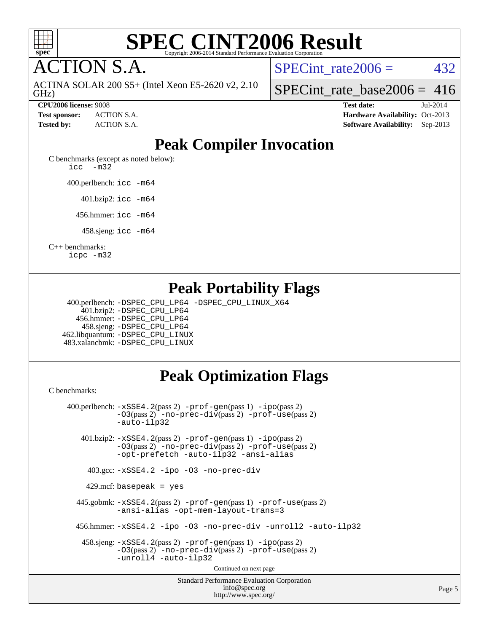

**CTION S.A.** 

GHz) ACTINA SOLAR 200 S5+ (Intel Xeon E5-2620 v2, 2.10 SPECint rate $2006 = 432$ 

[SPECint\\_rate\\_base2006 =](http://www.spec.org/auto/cpu2006/Docs/result-fields.html#SPECintratebase2006)  $416$ 

**[CPU2006 license:](http://www.spec.org/auto/cpu2006/Docs/result-fields.html#CPU2006license)** 9008 **[Test date:](http://www.spec.org/auto/cpu2006/Docs/result-fields.html#Testdate)** Jul-2014 **[Test sponsor:](http://www.spec.org/auto/cpu2006/Docs/result-fields.html#Testsponsor)** ACTION S.A. **[Hardware Availability:](http://www.spec.org/auto/cpu2006/Docs/result-fields.html#HardwareAvailability)** Oct-2013 **[Tested by:](http://www.spec.org/auto/cpu2006/Docs/result-fields.html#Testedby)** ACTION S.A. **[Software Availability:](http://www.spec.org/auto/cpu2006/Docs/result-fields.html#SoftwareAvailability)** Sep-2013

## **[Peak Compiler Invocation](http://www.spec.org/auto/cpu2006/Docs/result-fields.html#PeakCompilerInvocation)**

[C benchmarks \(except as noted below\)](http://www.spec.org/auto/cpu2006/Docs/result-fields.html#Cbenchmarksexceptasnotedbelow): [icc -m32](http://www.spec.org/cpu2006/results/res2014q3/cpu2006-20140714-30399.flags.html#user_CCpeak_intel_icc_5ff4a39e364c98233615fdd38438c6f2)

400.perlbench: [icc -m64](http://www.spec.org/cpu2006/results/res2014q3/cpu2006-20140714-30399.flags.html#user_peakCCLD400_perlbench_intel_icc_64bit_bda6cc9af1fdbb0edc3795bac97ada53)

401.bzip2: [icc -m64](http://www.spec.org/cpu2006/results/res2014q3/cpu2006-20140714-30399.flags.html#user_peakCCLD401_bzip2_intel_icc_64bit_bda6cc9af1fdbb0edc3795bac97ada53)

456.hmmer: [icc -m64](http://www.spec.org/cpu2006/results/res2014q3/cpu2006-20140714-30399.flags.html#user_peakCCLD456_hmmer_intel_icc_64bit_bda6cc9af1fdbb0edc3795bac97ada53)

458.sjeng: [icc -m64](http://www.spec.org/cpu2006/results/res2014q3/cpu2006-20140714-30399.flags.html#user_peakCCLD458_sjeng_intel_icc_64bit_bda6cc9af1fdbb0edc3795bac97ada53)

[C++ benchmarks:](http://www.spec.org/auto/cpu2006/Docs/result-fields.html#CXXbenchmarks)

[icpc -m32](http://www.spec.org/cpu2006/results/res2014q3/cpu2006-20140714-30399.flags.html#user_CXXpeak_intel_icpc_4e5a5ef1a53fd332b3c49e69c3330699)

## **[Peak Portability Flags](http://www.spec.org/auto/cpu2006/Docs/result-fields.html#PeakPortabilityFlags)**

 400.perlbench: [-DSPEC\\_CPU\\_LP64](http://www.spec.org/cpu2006/results/res2014q3/cpu2006-20140714-30399.flags.html#b400.perlbench_peakCPORTABILITY_DSPEC_CPU_LP64) [-DSPEC\\_CPU\\_LINUX\\_X64](http://www.spec.org/cpu2006/results/res2014q3/cpu2006-20140714-30399.flags.html#b400.perlbench_peakCPORTABILITY_DSPEC_CPU_LINUX_X64) 401.bzip2: [-DSPEC\\_CPU\\_LP64](http://www.spec.org/cpu2006/results/res2014q3/cpu2006-20140714-30399.flags.html#suite_peakCPORTABILITY401_bzip2_DSPEC_CPU_LP64) 456.hmmer: [-DSPEC\\_CPU\\_LP64](http://www.spec.org/cpu2006/results/res2014q3/cpu2006-20140714-30399.flags.html#suite_peakCPORTABILITY456_hmmer_DSPEC_CPU_LP64) 458.sjeng: [-DSPEC\\_CPU\\_LP64](http://www.spec.org/cpu2006/results/res2014q3/cpu2006-20140714-30399.flags.html#suite_peakCPORTABILITY458_sjeng_DSPEC_CPU_LP64) 462.libquantum: [-DSPEC\\_CPU\\_LINUX](http://www.spec.org/cpu2006/results/res2014q3/cpu2006-20140714-30399.flags.html#b462.libquantum_peakCPORTABILITY_DSPEC_CPU_LINUX) 483.xalancbmk: [-DSPEC\\_CPU\\_LINUX](http://www.spec.org/cpu2006/results/res2014q3/cpu2006-20140714-30399.flags.html#b483.xalancbmk_peakCXXPORTABILITY_DSPEC_CPU_LINUX)

## **[Peak Optimization Flags](http://www.spec.org/auto/cpu2006/Docs/result-fields.html#PeakOptimizationFlags)**

[C benchmarks](http://www.spec.org/auto/cpu2006/Docs/result-fields.html#Cbenchmarks):

Standard Performance Evaluation Corporation [info@spec.org](mailto:info@spec.org) 400.perlbench: [-xSSE4.2](http://www.spec.org/cpu2006/results/res2014q3/cpu2006-20140714-30399.flags.html#user_peakPASS2_CFLAGSPASS2_LDCFLAGS400_perlbench_f-xSSE42_f91528193cf0b216347adb8b939d4107)(pass 2) [-prof-gen](http://www.spec.org/cpu2006/results/res2014q3/cpu2006-20140714-30399.flags.html#user_peakPASS1_CFLAGSPASS1_LDCFLAGS400_perlbench_prof_gen_e43856698f6ca7b7e442dfd80e94a8fc)(pass 1) [-ipo](http://www.spec.org/cpu2006/results/res2014q3/cpu2006-20140714-30399.flags.html#user_peakPASS2_CFLAGSPASS2_LDCFLAGS400_perlbench_f-ipo)(pass 2) [-O3](http://www.spec.org/cpu2006/results/res2014q3/cpu2006-20140714-30399.flags.html#user_peakPASS2_CFLAGSPASS2_LDCFLAGS400_perlbench_f-O3)(pass 2) [-no-prec-div](http://www.spec.org/cpu2006/results/res2014q3/cpu2006-20140714-30399.flags.html#user_peakPASS2_CFLAGSPASS2_LDCFLAGS400_perlbench_f-no-prec-div)(pass 2) [-prof-use](http://www.spec.org/cpu2006/results/res2014q3/cpu2006-20140714-30399.flags.html#user_peakPASS2_CFLAGSPASS2_LDCFLAGS400_perlbench_prof_use_bccf7792157ff70d64e32fe3e1250b55)(pass 2) [-auto-ilp32](http://www.spec.org/cpu2006/results/res2014q3/cpu2006-20140714-30399.flags.html#user_peakCOPTIMIZE400_perlbench_f-auto-ilp32) 401.bzip2: [-xSSE4.2](http://www.spec.org/cpu2006/results/res2014q3/cpu2006-20140714-30399.flags.html#user_peakPASS2_CFLAGSPASS2_LDCFLAGS401_bzip2_f-xSSE42_f91528193cf0b216347adb8b939d4107)(pass 2) [-prof-gen](http://www.spec.org/cpu2006/results/res2014q3/cpu2006-20140714-30399.flags.html#user_peakPASS1_CFLAGSPASS1_LDCFLAGS401_bzip2_prof_gen_e43856698f6ca7b7e442dfd80e94a8fc)(pass 1) [-ipo](http://www.spec.org/cpu2006/results/res2014q3/cpu2006-20140714-30399.flags.html#user_peakPASS2_CFLAGSPASS2_LDCFLAGS401_bzip2_f-ipo)(pass 2) [-O3](http://www.spec.org/cpu2006/results/res2014q3/cpu2006-20140714-30399.flags.html#user_peakPASS2_CFLAGSPASS2_LDCFLAGS401_bzip2_f-O3)(pass 2) [-no-prec-div](http://www.spec.org/cpu2006/results/res2014q3/cpu2006-20140714-30399.flags.html#user_peakPASS2_CFLAGSPASS2_LDCFLAGS401_bzip2_f-no-prec-div)(pass 2) [-prof-use](http://www.spec.org/cpu2006/results/res2014q3/cpu2006-20140714-30399.flags.html#user_peakPASS2_CFLAGSPASS2_LDCFLAGS401_bzip2_prof_use_bccf7792157ff70d64e32fe3e1250b55)(pass 2) [-opt-prefetch](http://www.spec.org/cpu2006/results/res2014q3/cpu2006-20140714-30399.flags.html#user_peakCOPTIMIZE401_bzip2_f-opt-prefetch) [-auto-ilp32](http://www.spec.org/cpu2006/results/res2014q3/cpu2006-20140714-30399.flags.html#user_peakCOPTIMIZE401_bzip2_f-auto-ilp32) [-ansi-alias](http://www.spec.org/cpu2006/results/res2014q3/cpu2006-20140714-30399.flags.html#user_peakCOPTIMIZE401_bzip2_f-ansi-alias) 403.gcc: [-xSSE4.2](http://www.spec.org/cpu2006/results/res2014q3/cpu2006-20140714-30399.flags.html#user_peakCOPTIMIZE403_gcc_f-xSSE42_f91528193cf0b216347adb8b939d4107) [-ipo](http://www.spec.org/cpu2006/results/res2014q3/cpu2006-20140714-30399.flags.html#user_peakCOPTIMIZE403_gcc_f-ipo) [-O3](http://www.spec.org/cpu2006/results/res2014q3/cpu2006-20140714-30399.flags.html#user_peakCOPTIMIZE403_gcc_f-O3) [-no-prec-div](http://www.spec.org/cpu2006/results/res2014q3/cpu2006-20140714-30399.flags.html#user_peakCOPTIMIZE403_gcc_f-no-prec-div) 429.mcf: basepeak = yes 445.gobmk: [-xSSE4.2](http://www.spec.org/cpu2006/results/res2014q3/cpu2006-20140714-30399.flags.html#user_peakPASS2_CFLAGSPASS2_LDCFLAGS445_gobmk_f-xSSE42_f91528193cf0b216347adb8b939d4107)(pass 2) [-prof-gen](http://www.spec.org/cpu2006/results/res2014q3/cpu2006-20140714-30399.flags.html#user_peakPASS1_CFLAGSPASS1_LDCFLAGS445_gobmk_prof_gen_e43856698f6ca7b7e442dfd80e94a8fc)(pass 1) [-prof-use](http://www.spec.org/cpu2006/results/res2014q3/cpu2006-20140714-30399.flags.html#user_peakPASS2_CFLAGSPASS2_LDCFLAGS445_gobmk_prof_use_bccf7792157ff70d64e32fe3e1250b55)(pass 2) [-ansi-alias](http://www.spec.org/cpu2006/results/res2014q3/cpu2006-20140714-30399.flags.html#user_peakCOPTIMIZE445_gobmk_f-ansi-alias) [-opt-mem-layout-trans=3](http://www.spec.org/cpu2006/results/res2014q3/cpu2006-20140714-30399.flags.html#user_peakCOPTIMIZE445_gobmk_f-opt-mem-layout-trans_a7b82ad4bd7abf52556d4961a2ae94d5) 456.hmmer: [-xSSE4.2](http://www.spec.org/cpu2006/results/res2014q3/cpu2006-20140714-30399.flags.html#user_peakCOPTIMIZE456_hmmer_f-xSSE42_f91528193cf0b216347adb8b939d4107) [-ipo](http://www.spec.org/cpu2006/results/res2014q3/cpu2006-20140714-30399.flags.html#user_peakCOPTIMIZE456_hmmer_f-ipo) [-O3](http://www.spec.org/cpu2006/results/res2014q3/cpu2006-20140714-30399.flags.html#user_peakCOPTIMIZE456_hmmer_f-O3) [-no-prec-div](http://www.spec.org/cpu2006/results/res2014q3/cpu2006-20140714-30399.flags.html#user_peakCOPTIMIZE456_hmmer_f-no-prec-div) [-unroll2](http://www.spec.org/cpu2006/results/res2014q3/cpu2006-20140714-30399.flags.html#user_peakCOPTIMIZE456_hmmer_f-unroll_784dae83bebfb236979b41d2422d7ec2) [-auto-ilp32](http://www.spec.org/cpu2006/results/res2014q3/cpu2006-20140714-30399.flags.html#user_peakCOPTIMIZE456_hmmer_f-auto-ilp32) 458.sjeng: [-xSSE4.2](http://www.spec.org/cpu2006/results/res2014q3/cpu2006-20140714-30399.flags.html#user_peakPASS2_CFLAGSPASS2_LDCFLAGS458_sjeng_f-xSSE42_f91528193cf0b216347adb8b939d4107)(pass 2) [-prof-gen](http://www.spec.org/cpu2006/results/res2014q3/cpu2006-20140714-30399.flags.html#user_peakPASS1_CFLAGSPASS1_LDCFLAGS458_sjeng_prof_gen_e43856698f6ca7b7e442dfd80e94a8fc)(pass 1) [-ipo](http://www.spec.org/cpu2006/results/res2014q3/cpu2006-20140714-30399.flags.html#user_peakPASS2_CFLAGSPASS2_LDCFLAGS458_sjeng_f-ipo)(pass 2) [-O3](http://www.spec.org/cpu2006/results/res2014q3/cpu2006-20140714-30399.flags.html#user_peakPASS2_CFLAGSPASS2_LDCFLAGS458_sjeng_f-O3)(pass 2) [-no-prec-div](http://www.spec.org/cpu2006/results/res2014q3/cpu2006-20140714-30399.flags.html#user_peakPASS2_CFLAGSPASS2_LDCFLAGS458_sjeng_f-no-prec-div)(pass 2) [-prof-use](http://www.spec.org/cpu2006/results/res2014q3/cpu2006-20140714-30399.flags.html#user_peakPASS2_CFLAGSPASS2_LDCFLAGS458_sjeng_prof_use_bccf7792157ff70d64e32fe3e1250b55)(pass 2) [-unroll4](http://www.spec.org/cpu2006/results/res2014q3/cpu2006-20140714-30399.flags.html#user_peakCOPTIMIZE458_sjeng_f-unroll_4e5e4ed65b7fd20bdcd365bec371b81f) [-auto-ilp32](http://www.spec.org/cpu2006/results/res2014q3/cpu2006-20140714-30399.flags.html#user_peakCOPTIMIZE458_sjeng_f-auto-ilp32) Continued on next page

<http://www.spec.org/>

Page 5